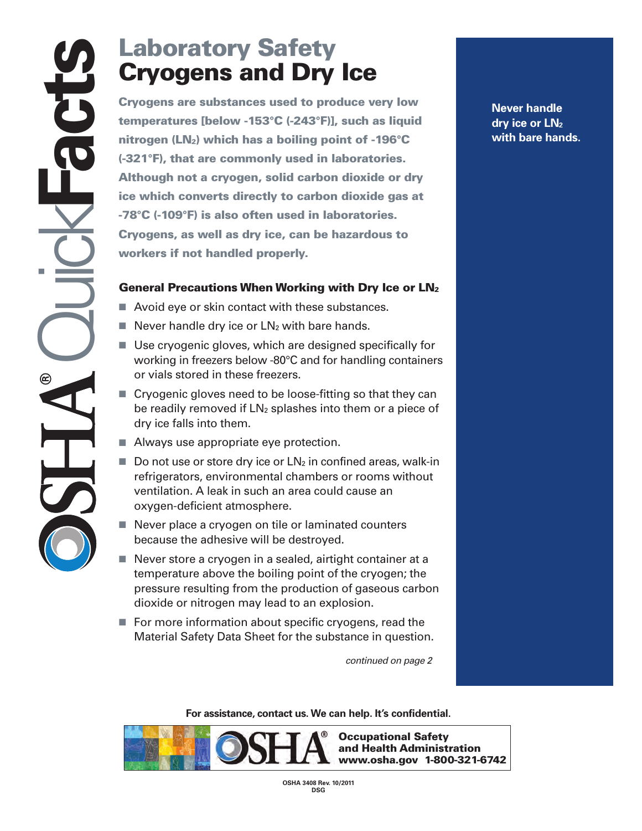## **Cryogens and Dry Ice**

**Cryogens and Dry**<br>Cryogens are substances used to protemperatures [below -153°C (-243°F)],<br>nitrogen (LN<sub>2</sub>) which has a boiling po<br>(-321°F), that are commonly used in 14<br>Although not a cryogen, solid carbon<br>ice which conv **Cryogens are substances used to produce very low temperatures [below -153°C (-243°F)], such as liquid nitrogen (LN2) which has a boiling point of -196°C (-321°F), that are commonly used in laboratories. Although not a cryogen, solid carbon dioxide or dry ice which converts directly to carbon dioxide gas at -78°C (-109°F) is also often used in laboratories. Cryogens, as well as dry ice, can be hazardous to workers if not handled properly.**

## **General Precautions When Working with Dry Ice or LN2**

- Avoid eye or skin contact with these substances.
- Never handle dry ice or LN<sub>2</sub> with bare hands.
- Use cryogenic gloves, which are designed specifically for working in freezers below -80°C and for handling containers or vials stored in these freezers.
- Cryogenic gloves need to be loose-fitting so that they can be readily removed if  $LN<sub>2</sub>$  splashes into them or a piece of dry ice falls into them.
- Always use appropriate eye protection.
- Do not use or store dry ice or LN<sub>2</sub> in confined areas, walk-in refrigerators, environmental chambers or rooms without ventilation. A leak in such an area could cause an oxygen-deficient atmosphere.
- Never place a cryogen on tile or laminated counters because the adhesive will be destroyed.
- Never store a cryogen in a sealed, airtight container at a temperature above the boiling point of the cryogen; the pressure resulting from the production of gaseous carbon dioxide or nitrogen may lead to an explosion.
- For more information about specific cryogens, read the Material Safety Data Sheet for the substance in question.

*continued on page 2*

**For assistance, contact us. We can help. It's confidential.**



**Never handle dry ice or LN2 with bare hands.**

**OSHA 3408 Rev. 10/2011 DSG**